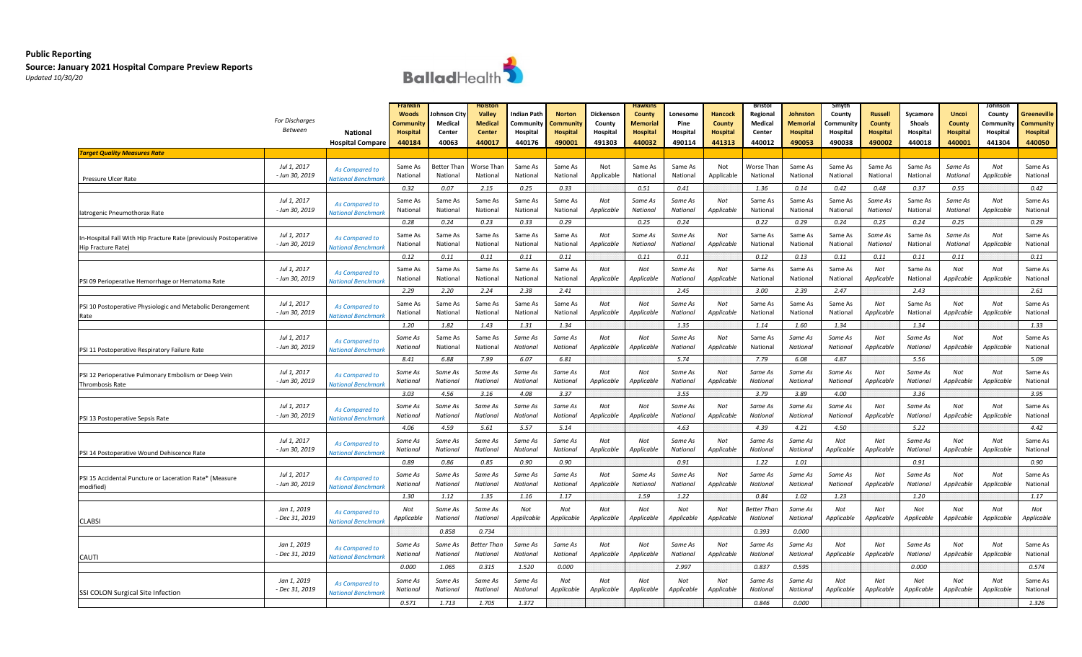

|                                                                   |                               |                           |                 |             | Holston         |             |                 |            | Hawkin:         |                 |                 | Bristol     |                 | Smyth      |                          |                          |                            | ohnsol                   |                 |
|-------------------------------------------------------------------|-------------------------------|---------------------------|-----------------|-------------|-----------------|-------------|-----------------|------------|-----------------|-----------------|-----------------|-------------|-----------------|------------|--------------------------|--------------------------|----------------------------|--------------------------|-----------------|
|                                                                   |                               |                           | <b>Woods</b>    | ohnson City | Valley          | Indian Path | <b>Norton</b>   | Dickenson  | County          | Lonesom         | Hancock         | Regional    | Johnston        | County     | <b>Russell</b>           | Sycamore                 | <b>Uncoi</b>               | County                   | Greeneville     |
|                                                                   | For Discharges                |                           | Community       | Medical     | <b>Medical</b>  | Community   | ommunit:        | County     | Memoria         | Pine            | County          | Medical     | <b>Memorial</b> | .cmmunit\  | <b>County</b>            | <b>Shoals</b>            | <b>County</b>              | Communit                 | Community       |
|                                                                   | <b>Between</b>                | <b>National</b>           | <b>Hospital</b> | Center      | Center          | Hospital    | <b>Hospital</b> | Hospital   | <b>Hospital</b> | Hospital        | <b>Hospital</b> | Center      | Hospital        | Hospital   | <b>Hospital</b>          | Hospital                 | <b>Hospital</b>            | Hospital                 | <b>Hospital</b> |
|                                                                   |                               | <b>Hospital Compare</b>   | 440184          | 40063       | 440017          | 440176      | 490001          | 491303     | 440032          | 490114          | 441313          | 440012      | 490053          | 490038     | 490002                   | 440018                   | 440001                     | 441304                   | 440050          |
| <b>Farget Quality Measures Rate</b>                               |                               |                           |                 |             |                 |             |                 |            |                 |                 |                 |             |                 |            |                          |                          |                            |                          |                 |
|                                                                   |                               |                           |                 |             |                 |             |                 |            |                 |                 |                 |             |                 |            |                          |                          |                            |                          |                 |
|                                                                   | Jul 1, 2017                   | As Compared to            | Same As         | Better Than | Worse Than      | Same As     | Same As         | Not        | Same As         | Same As         | Not             | Worse Thar  | Same As         | Same As    | Same As                  | Same As                  | Same As                    | Not                      | Same As         |
| Pressure Ulcer Rate                                               | - Jun 30, 2019                | <b>Vational Benchmark</b> | National        | National    | National        | National    | National        | Applicable | National        | National        | Applicable      | National    | National        | National   | National                 | National                 | National                   | Applicable               | National        |
|                                                                   |                               |                           | 0.32            | 0.07        | 2.15            | 0.25        | 0.33            |            | 0.51            | 0.41            |                 | 1.36        | 0.14            | 0.42       | 0.48                     | 0.37                     | 0.55                       |                          | 0.42            |
|                                                                   |                               |                           |                 |             |                 |             |                 |            |                 |                 |                 |             |                 |            |                          |                          |                            |                          |                 |
|                                                                   | Jul 1, 2017<br>- Jun 30, 2019 | As Compared to            | Same As         | Same As     | Same As         | Same As     | Same As         | Not        | Same As         | Same As         | Not             | Same As     | Same As         | Same As    | Same As                  | Same As                  | Same As<br><b>National</b> | Not                      | Same As         |
| latrogenic Pneumothorax Rate                                      |                               | <b>Vational Benchmar</b>  | National        | National    | National        | National    | National        | Applicable | National        | National        | Applicable      | National    | National        | National   | National                 | National                 |                            | Applicable               | National        |
|                                                                   |                               |                           | 0.28            | 0.24        | 0.23            | 0.33        | 0.29            |            | 0.25            | 0.24            |                 | 0.22        | 0.29            | 0.24       | 0.25                     | 0.24                     | 0.25                       |                          | 0.29            |
|                                                                   | Jul 1, 2017                   |                           | Same As         | Same As     | Same As         | Same As     | Same As         | Not        | Same As         | Same As         | Not             | Same As     | Same As         | Same As    | Same As                  | Same As                  | Same As                    | Not                      | Same As         |
| In-Hospital Fall With Hip Fracture Rate (previously Postoperative | - Jun 30, 2019                | <b>As Compared to</b>     | National        | National    | National        | National    | National        | Applicable | National        | National        | Applicable      | National    | National        | National   | National                 | National                 | National                   | Applicable               | National        |
| Hip Fracture Rate)                                                |                               | <b>Vational Benchmari</b> |                 |             |                 |             |                 |            |                 |                 |                 |             |                 |            |                          |                          |                            |                          |                 |
|                                                                   |                               |                           | 0.12            | 0.11        | 0.11            | 0.11        | 0.11            |            | 0.11            | 0.11            |                 | 0.12        | 0.13            | 0.11       | 0.11                     | 0.11                     | 0.11                       |                          | 0.11            |
|                                                                   | Jul 1, 2017                   | As Compared to            | Same As         | Same As     | Same As         | Same As     | Same As         | Not        | Not             | Same As         | Not             | Same As     | Same As         | Same As    | Not                      | Same As                  | Not                        | Not                      | Same As         |
| PSI 09 Perioperative Hemorrhage or Hematoma Rate                  | - Jun 30, 2019                | <b>Iational Benchmarl</b> | National        | National    | National        | National    | National        | Applicable | Applicable      | National        | Applicable      | National    | National        | National   | Applicable               | National                 | Applicable                 | Applicable               | National        |
|                                                                   |                               |                           | 2.29            | 2.20        | 2.24            | 2.38        | 2.41            |            |                 | 2.45            |                 | 3.00        | 2.39            | 2.47       |                          | 2.43                     |                            |                          | 2.61            |
|                                                                   |                               |                           |                 |             |                 |             |                 |            |                 |                 |                 |             |                 |            |                          |                          |                            |                          |                 |
| PSI 10 Postoperative Physiologic and Metabolic Derangement        | Jul 1, 2017                   | <b>As Compared to</b>     | Same As         | Same As     | Same As         | Same As     | Same As         | Not        | Not             | Same As         | Not             | Same As     | Same As         | Same As    | Not                      | Same As                  | Not                        | Not                      | Same As         |
| Rate                                                              | - Jun 30, 2019                | <b>Vational Benchmari</b> | National        | National    | National        | National    | National        | Applicable | Applicable      | National        | Applicable      | National    | National        | National   | <i><b>Applicable</b></i> | National                 | Applicable                 | Applicable               | National        |
|                                                                   |                               |                           | 1.20            | 1.82        | 1.43            | 1.31        | 1.34            |            |                 | 1.35            |                 | 1.14        | 1.60            | 1.34       |                          | 1.34                     |                            |                          | 1.33            |
|                                                                   |                               |                           |                 |             |                 |             |                 |            |                 |                 | Not             |             |                 |            |                          |                          | Not                        | Not                      |                 |
|                                                                   | Jul 1, 2017                   | As Compared to            | Same As         | Same As     | Same As         | Same As     | Same As         | Not        | Not             | Same As         |                 | Same As     | Same As         | Same As    | Not                      | Same As                  |                            |                          | Same As         |
| PSI 11 Postoperative Respiratory Failure Rate                     | - Jun 30, 2019                | <b>Vational Benchmark</b> | National        | National    | National        | National    | National        | Applicable | Applicable      | National        | Applicable      | National    | National        | National   | <i><b>Applicable</b></i> | National                 | <i><b>Applicable</b></i>   | <i><b>Applicable</b></i> | National        |
|                                                                   |                               |                           | 8.41            | 6.88        | 7.99            | 6.07        | 6.81            |            |                 | 5.74            |                 | 7.79        | 6.08            | 4.87       |                          | 5.56                     |                            |                          | 5.09            |
|                                                                   | Jul 1, 2017                   |                           | Same As         | Same As     | Same As         | Same As     | Same As         | Not        | Not             | Same As         | Not             | Same As     | Same As         | Same As    | Not                      | Same As                  | Not                        | Not                      | Same As         |
| PSI 12 Perioperative Pulmonary Embolism or Deep Vein              | - Jun 30, 2019                | As Compared to            | National        | National    | National        | National    | National        | Applicable | Applicable      | <b>National</b> | Applicable      | National    | National        | National   | <i><b>Applicable</b></i> | National                 | <i><b>Applicable</b></i>   | Applicable               | National        |
| Thrombosis Rate                                                   |                               | <b>National Benchmark</b> |                 |             |                 |             |                 |            |                 |                 |                 |             |                 |            |                          |                          |                            |                          |                 |
|                                                                   |                               |                           | 3.03            | 4.56        | 3.16            | 4.08        | 3.37            |            |                 | 3.55            |                 | 3.79        | 3.89            | 4.00       |                          | 3.36                     |                            |                          | 3.95            |
|                                                                   | Jul 1, 2017                   | As Compared to            | Same As         | Same As     | Same As         | Same As     | Same As         | Not        | Not             | Same As         | Not             | Same As     | Same As         | Same As    | Not                      | Same As                  | Not                        | Not                      | Same As         |
| PSI 13 Postoperative Sepsis Rate                                  | - Jun 30, 2019                | <b>Vational Benchmar</b>  | National        | National    | <b>National</b> | National    | National        | Applicable | Applicable      | National        | Applicable      | National    | National        | National   | <i><b>Applicable</b></i> | National                 | Applicable                 | Applicable               | National        |
|                                                                   |                               |                           | 4.06            | 4.59        | 5.61            | 5.57        | 5.14            |            |                 | 4.63            |                 | 4.39        | 4.21            | 4.50       |                          | 5.22                     |                            |                          | 4.42            |
|                                                                   |                               |                           |                 |             |                 |             |                 |            |                 |                 |                 |             |                 |            |                          |                          |                            |                          |                 |
|                                                                   | Jul 1, 2017                   | As Compared to            | Same As         | Same As     | Same As         | Same As     | Same As         | Not        | Not             | Same As         | Not             | Same As     | Same As         | Not        | Not                      | Same As                  | Not                        | Not                      | Same As         |
| PSI 14 Postoperative Wound Dehiscence Rate                        | - Jun 30, 2019                | <b>Vational Benchmarl</b> | National        | National    | <b>National</b> | National    | National        | Applicable | Applicable      | National        | Applicable      | National    | National        | Applicable | Applicable               | National                 | Applicable                 | Applicable               | National        |
|                                                                   |                               |                           | 0.89            | 0.86        | 0.85            | 0.90        | 0.90            |            |                 | 0.91            |                 | 1.22        | 1.01            |            |                          | 0.91                     |                            |                          | 0.90            |
|                                                                   | Jul 1, 2017                   |                           | Same As         | Same As     | Same As         | Same As     | Same As         | Not        | Same As         | Same As         | Not             | Same As     | Same As         | Same As    | Not                      | Same As                  | Not                        | Not                      | Same As         |
| PSI 15 Accidental Puncture or Laceration Rate* (Measure           | - Jun 30, 2019                | As Compared to            | National        | National    | <b>National</b> | National    | National        | Applicable | National        | <b>National</b> | Applicable      | National    | National        | National   | <i><b>Applicable</b></i> | National                 | Applicable                 | Applicable               | National        |
| modified)                                                         |                               | <b>Vational Benchmarl</b> |                 |             |                 |             |                 |            |                 |                 |                 |             |                 |            |                          |                          |                            |                          |                 |
|                                                                   |                               |                           | 1.30            | 1.12        | 1.35            | 1.16        | 1.17            |            | 1.59            | 1.22            |                 | 0.84        | 1.02            | 1.23       |                          | 1.20                     |                            |                          | 1.17            |
|                                                                   | Jan 1, 2019                   | As Compared to            | Not             | Same As     | Same As         | Not         | Not             | Not        | Not             | Not             | Not             | 3etter Thar | Same As         | Not        | Not                      | Not                      | Not                        | Not                      | Not             |
| <b>CLABSI</b>                                                     | - Dec 31, 2019                | <b>Vational Benchmari</b> | Applicable      | National    | National        | Applicable  | Applicable      | Applicable | Applicable      | Applicable      | Applicable      | National    | National        | Applicable | Applicable               | Applicable               | Applicable                 | Applicable               | Applicable      |
|                                                                   |                               |                           |                 | 0.858       | 0.734           |             |                 |            |                 |                 |                 | 0.393       | 0.000           |            |                          |                          |                            |                          |                 |
|                                                                   |                               |                           |                 |             |                 |             |                 |            |                 |                 |                 |             |                 |            |                          |                          |                            |                          |                 |
|                                                                   | Jan 1, 2019                   | As Compared to            | Same As         | Same As     | Better Than     | Same As     | Same As         | Not        | Not             | Same As         | Not             | Same As     | Same As         | Not        | Not                      | Same As                  | Not                        | Not                      | Same As         |
| CAUTI                                                             | - Dec 31, 2019                | lational Benchmar         | National        | National    | National        | National    | National        | Applicable | Applicable      | National        | Applicable      | National    | National        | Applicable | Applicable               | National                 | Applicable                 | Applicable               | National        |
|                                                                   |                               |                           | 0.000           | 1.065       | 0.315           | 1.520       | 0.000           |            |                 | 2.997           |                 | 0.837       | 0.595           |            |                          | 0.000                    |                            |                          | 0.574           |
|                                                                   |                               |                           |                 |             |                 |             |                 |            |                 |                 |                 |             |                 |            |                          |                          |                            |                          |                 |
|                                                                   | Jan 1, 2019                   | As Compared to            | Same As         | Same As     | Same As         | Same As     | Not             | Not        | Not             | Not             | Not             | Same As     | Same As         | Not        | Not                      | Not                      | Not                        | Not                      | Same As         |
| SSI COLON Surgical Site Infection                                 | - Dec 31, 2019                | <b>Vational Benchmar</b>  | National        | National    | National        | National    | Applicable      | Applicable | Applicable      | Applicable      | Applicable      | National    | National        | Applicable | <i><b>Applicable</b></i> | <i><b>Applicable</b></i> | Applicable                 | Applicable               | National        |
|                                                                   |                               |                           | 0.571           | 1.713       | 1.705           | 1.372       |                 |            |                 |                 |                 | 0.846       | 0.000           |            |                          |                          |                            |                          | 1.326           |
|                                                                   |                               |                           |                 |             |                 |             |                 |            |                 |                 |                 |             |                 |            |                          |                          |                            |                          |                 |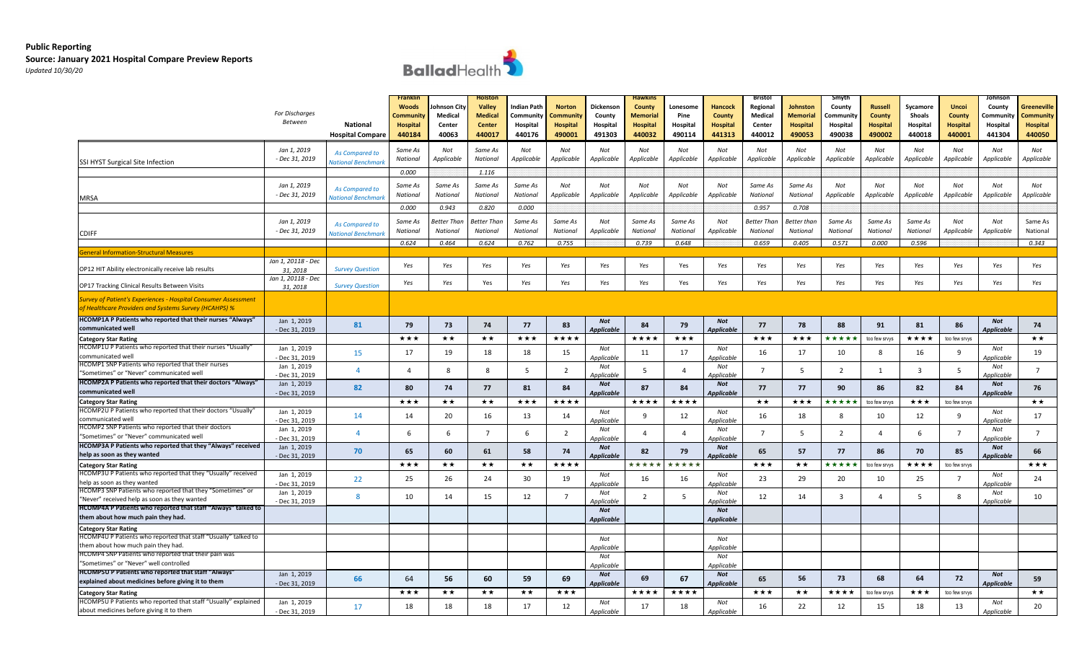

|                                                                                                                                | For Discharges<br><b>Between</b> | <b>National</b><br><b>Hospital Compare</b>        | <b>Franklin</b><br><b>Woods</b><br>Community<br><b>Hospital</b><br>440184 | ohnson City<br>Medical<br>Center<br>40063 | Holstor<br>Valley<br><b>Medical</b><br><b>Center</b><br>440017 | ndian Path<br>Community<br>Hospital<br>440176 | <b>Norton</b><br>`ommunit\<br><b>Hospital</b><br>490001 | Dickenson<br>County<br>Hospital<br>491303 | <b>Hawkins</b><br>County<br>Memorial<br>Hospital<br>440032 | Lonesome<br>Pine<br>Hospital<br>490114 | <b>Hancock</b><br>County<br><b>Hospital</b><br>441313 | <b>Bristol</b><br>Regional<br>Medical<br>Center<br>440012 | Johnston<br>Memorial<br><b>Hospital</b><br>490053 | Smyth<br>County<br>Community<br>Hospital<br>490038 | <b>Russell</b><br>County<br><b>Hospital</b><br>490002 | Sycamore<br><b>Shoals</b><br>Hospital<br>440018 | <b>Uncoi</b><br>County<br>Hospital<br>440001 | Johnson<br>County<br>Community<br>Hospital<br>441304 | Greeneville<br>Community<br>Hospital<br>440050 |
|--------------------------------------------------------------------------------------------------------------------------------|----------------------------------|---------------------------------------------------|---------------------------------------------------------------------------|-------------------------------------------|----------------------------------------------------------------|-----------------------------------------------|---------------------------------------------------------|-------------------------------------------|------------------------------------------------------------|----------------------------------------|-------------------------------------------------------|-----------------------------------------------------------|---------------------------------------------------|----------------------------------------------------|-------------------------------------------------------|-------------------------------------------------|----------------------------------------------|------------------------------------------------------|------------------------------------------------|
| SSI HYST Surgical Site Infection                                                                                               | Jan 1, 2019<br>- Dec 31, 2019    | As Compared to<br><b>Vational Benchman</b>        | Same As<br>National                                                       | Not<br>Applicable                         | Same As<br>National                                            | Not<br>Applicable                             | Not<br>Applicable                                       | Not<br>Applicable                         | Not<br>Applicable                                          | Not<br>Applicable                      | Not<br>Applicable                                     | Not<br>Applicable                                         | Not<br>Applicable                                 | Not<br>Applicable                                  | Not<br>Applicable                                     | Not<br>Applicable                               | Not<br>Applicable                            | Not<br>Applicable                                    | Not<br>Applicable                              |
| <b>MRSA</b>                                                                                                                    | Jan 1, 2019<br>- Dec 31, 2019    | As Compared to<br><b>Vational Benchman</b>        | 0.000<br>Same As<br>National                                              | Same As<br>National                       | 1.116<br>Same As<br>National                                   | Same As<br>National                           | Not<br>Applicable                                       | Not<br>Applicable                         | Not<br>Applicable                                          | Not<br>Applicable                      | Not<br>Applicable                                     | Same As<br>National                                       | Same As<br>National                               | Not<br>Applicable                                  | Not<br>Applicable                                     | Not<br>Applicable                               | Not<br>Applicable                            | Not<br>Applicable                                    | Not<br>Applicable                              |
|                                                                                                                                |                                  |                                                   | 0.000                                                                     | 0.943                                     | 0.820                                                          | 0.000                                         |                                                         |                                           |                                                            |                                        |                                                       | 0.957                                                     | 0.708                                             |                                                    |                                                       |                                                 |                                              |                                                      |                                                |
| <b>CDIFF</b>                                                                                                                   | Jan 1, 2019<br>- Dec 31, 2019    | <b>As Compared to</b><br><b>Iational Benchmar</b> | Same As<br>National                                                       | Better Than<br>National                   | Better Than<br>National                                        | Same As<br>National                           | Same As<br>National                                     | Not<br>Applicable                         | Same As<br>National                                        | Same As<br>National                    | Not<br>Applicable                                     | Better Than<br>National                                   | Better than<br>National                           | Same As<br>National                                | Same As<br>National                                   | Same As<br>National                             | Not<br>Applicable                            | Not<br>Applicable                                    | Same As<br>National                            |
|                                                                                                                                |                                  |                                                   | 0.624                                                                     | 0.464                                     | 0.624                                                          | 0.762                                         | 0.755                                                   |                                           | 0.739                                                      | 0.648                                  |                                                       | 0.659                                                     | 0.405                                             | 0.571                                              | 0.000                                                 | 0.596                                           |                                              |                                                      | 0.343                                          |
| <b>General Information-Structural Measures</b><br>OP12 HIT Ability electronically receive lab results                          | Jan 1, 20118 - Dec<br>31, 2018   | <b>Survey Question</b>                            | Yes                                                                       | Yes                                       | Yes                                                            | Yes                                           | Yes                                                     | Yes                                       | Yes                                                        | Yes                                    | Yes                                                   | Yes                                                       | Yes                                               | Yes                                                | Yes                                                   | Yes                                             | Yes                                          | Yes                                                  | Yes                                            |
| OP17 Tracking Clinical Results Between Visits                                                                                  | Jan 1, 20118 - Dec<br>31, 2018   | <b>Survey Question</b>                            | Yes                                                                       | Yes                                       | Yes                                                            | Yes                                           | Yes                                                     | Yes                                       | Yes                                                        | Yes                                    | Yes                                                   | Yes                                                       | Yes                                               | Yes                                                | Yes                                                   | Yes                                             | Yes                                          | Yes                                                  | Yes                                            |
| <b>Survey of Patient's Experiences - Hospital Consumer Assessment</b><br>of Healthcare Providers and Systems Survey (HCAHPS) % |                                  |                                                   |                                                                           |                                           |                                                                |                                               |                                                         |                                           |                                                            |                                        |                                                       |                                                           |                                                   |                                                    |                                                       |                                                 |                                              |                                                      |                                                |
| HCOMP1A P Patients who reported that their nurses "Always"<br>communicated well                                                | Jan 1, 2019<br>- Dec 31, 2019    | 81                                                | 79                                                                        | 73                                        | 74                                                             | 77                                            | 83                                                      | <b>Not</b><br><b>Applicable</b>           | 84                                                         | 79                                     | <b>Not</b><br><b>Applicable</b>                       | 77                                                        | 78                                                | 88                                                 | 91                                                    | 81                                              | 86                                           | Not<br>Applicable                                    | 74                                             |
| <b>Category Star Rating</b>                                                                                                    |                                  |                                                   | ***                                                                       | ★★                                        | ★★                                                             | ***                                           | ****                                                    |                                           | ****                                                       | ***                                    |                                                       | ***                                                       | ***                                               | ****                                               | too few srvys                                         | ****                                            | too few srvys                                |                                                      | $\star\star$                                   |
| HCOMP1U P Patients who reported that their nurses "Usually'<br>communicated well                                               | Jan 1, 2019<br>- Dec 31, 2019    | 15                                                | 17                                                                        | 19                                        | 18                                                             | 18                                            | 15                                                      | Not<br>Applicable                         | 11                                                         | 17                                     | Not<br>Applicable                                     | 16                                                        | 17                                                | 10                                                 | 8                                                     | 16                                              | 9                                            | Not<br>Applicable                                    | 19                                             |
| HCOMP1 SNP Patients who reported that their nurses<br>"Sometimes" or "Never" communicated well                                 | Jan 1, 2019<br>Dec 31, 2019      | $\Delta$                                          | $\overline{4}$                                                            | 8                                         | 8                                                              | -5                                            | 2                                                       | Not<br>Applicable                         | -5                                                         | $\overline{a}$                         | Not<br>Applicable                                     | - 7                                                       | -5                                                | $\overline{2}$                                     | 1                                                     | $\overline{\mathbf{3}}$                         | - 5                                          | Not<br>Applicable                                    | $\overline{7}$                                 |
| HCOMP2A P Patients who reported that their doctors "Always"<br>communicated well                                               | Jan 1, 2019                      | 82                                                | 80                                                                        | 74                                        | 77                                                             | 81                                            | 84                                                      | Not                                       | 87                                                         | 84                                     | Not                                                   | 77                                                        | 77                                                | 90                                                 | 86                                                    | 82                                              | 84                                           | Not                                                  | 76                                             |
| <b>Category Star Rating</b>                                                                                                    | - Dec 31, 2019                   |                                                   | ★★★                                                                       | ★★                                        | ★★                                                             | ***                                           | ****                                                    | <b>Applicable</b>                         | ★★★★                                                       | ****                                   | <b>Applicable</b>                                     | **                                                        | ***                                               | ****                                               | too few srvys                                         | ★★★                                             | too few srvys                                | <b>Applicable</b>                                    | $\star\star$                                   |
| HCOMP2U P Patients who reported that their doctors "Usually"                                                                   | Jan 1, 2019                      | 14                                                | 14                                                                        | 20                                        | 16                                                             | 13                                            | 14                                                      | Not                                       | q                                                          | 12                                     | Not                                                   | 16                                                        | 18                                                | 8                                                  | 10                                                    | 12                                              | 9                                            | Not                                                  | 17                                             |
| communicated well<br>HCOMP2 SNP Patients who reported that their doctors                                                       | Dec 31, 2019<br>Jan 1, 2019      | $\overline{a}$                                    | 6                                                                         | 6                                         | $\overline{7}$                                                 | -6                                            |                                                         | Applicable<br>Not                         |                                                            | $\overline{4}$                         | Applicable<br>Not                                     | $\overline{7}$                                            | 5                                                 | $\overline{2}$                                     | $\overline{a}$                                        | 6                                               | $\overline{7}$                               | Applicable<br>Not                                    | $\overline{7}$                                 |
| "Sometimes" or "Never" communicated well                                                                                       | Dec 31, 2019                     |                                                   |                                                                           |                                           |                                                                |                                               | 2                                                       | Applicable                                |                                                            |                                        | Applicable                                            |                                                           |                                                   |                                                    |                                                       |                                                 |                                              | Applicable                                           |                                                |
| HCOMP3A P Patients who reported that they "Always" received<br>help as soon as they wanted                                     | Jan 1, 2019<br>- Dec 31, 2019    | 70                                                | 65                                                                        | 60                                        | 61                                                             | 58                                            | 74                                                      | Not<br><b>Applicable</b>                  | 82                                                         | 79                                     | Not<br><b>Applicable</b>                              | 65                                                        | 57                                                | 77                                                 | 86                                                    | 70                                              | 85                                           | Not<br>Applicable                                    | 66                                             |
| <b>Category Star Rating</b>                                                                                                    |                                  |                                                   | ★★★                                                                       | $\star\star$                              | ★★                                                             | ★★                                            | ****                                                    |                                           | ****                                                       | ****                                   |                                                       | ***                                                       | ★★                                                | ****                                               | too few srvys                                         | ★★★★                                            | too few srvys                                |                                                      | ***                                            |
| HCOMP3U P Patients who reported that they "Usually" received<br>help as soon as they wanted                                    | Jan 1, 2019<br>Dec 31, 2019      | 22                                                | 25                                                                        | 26                                        | 24                                                             | 30                                            | 19                                                      | Not<br>Applicable                         | 16                                                         | 16                                     | Not<br>Applicable                                     | 23                                                        | 29                                                | 20                                                 | 10                                                    | 25                                              |                                              | Not<br>Applicable                                    | 24                                             |
| HCOMP3 SNP Patients who reported that they "Sometimes" or<br>"Never" received help as soon as they wanted                      | Jan 1, 2019<br>- Dec 31, 2019    | 8                                                 | 10                                                                        | 14                                        | 15                                                             | 12                                            | $\overline{7}$                                          | Not<br>pplicable                          | $\overline{2}$                                             | 5                                      | Not<br>Annlicable                                     | 12                                                        | 14                                                | $\overline{\mathbf{3}}$                            | $\overline{a}$                                        | 5                                               | 8                                            | Not<br>Applicable                                    | 10                                             |
| HCOMP4A P Patients who reported that staff "Always" talked to<br>them about how much pain they had.                            |                                  |                                                   |                                                                           |                                           |                                                                |                                               |                                                         | Not<br><b>Applicable</b>                  |                                                            |                                        | Not<br><b>Applicable</b>                              |                                                           |                                                   |                                                    |                                                       |                                                 |                                              |                                                      |                                                |
| <b>Category Star Rating</b><br>HCOMP4U P Patients who reported that staff "Usually" talked to                                  |                                  |                                                   |                                                                           |                                           |                                                                |                                               |                                                         |                                           |                                                            |                                        |                                                       |                                                           |                                                   |                                                    |                                                       |                                                 |                                              |                                                      |                                                |
| them about how much pain they had.                                                                                             |                                  |                                                   |                                                                           |                                           |                                                                |                                               |                                                         | Not<br>Applicable                         |                                                            |                                        | Not<br>Applicable                                     |                                                           |                                                   |                                                    |                                                       |                                                 |                                              |                                                      |                                                |
| HCOMP4 SNP Patients who reported that their pain was<br>"Sometimes" or "Never" well controlled                                 |                                  |                                                   |                                                                           |                                           |                                                                |                                               |                                                         | Not<br>Applicable                         |                                                            |                                        | Not<br>Applicable                                     |                                                           |                                                   |                                                    |                                                       |                                                 |                                              |                                                      |                                                |
| HCOMP5U P Patients who reported that staff "Always"<br>explained about medicines before giving it to them                      | Jan 1, 2019                      | 66                                                | 64                                                                        | 56                                        | 60                                                             | 59                                            | 69                                                      | <b>Not</b>                                | 69                                                         | 67                                     | <b>Not</b>                                            | 65                                                        | 56                                                | 73                                                 | 68                                                    | 64                                              | 72                                           | Not                                                  | 59                                             |
| <b>Category Star Rating</b>                                                                                                    | - Dec 31, 2019                   |                                                   | ★★★                                                                       | ★★                                        | $\star\star$                                                   | **                                            | ***                                                     | Applicable                                | ★★★★                                                       | ****                                   | <b>Applicable</b>                                     | ***                                                       | $\star\star$                                      | $\star\star\star$                                  | too few srvys                                         | ***                                             | too few srvys                                | Applicable                                           | $\star\star$                                   |
| HCOMP5U P Patients who reported that staff "Usually" explained<br>about medicines before giving it to them                     | Jan 1, 2019<br>- Dec 31, 2019    | 17                                                | 18                                                                        | 18                                        | 18                                                             | 17                                            | 12                                                      | Not<br>Applicable                         | 17                                                         | 18                                     | Not<br>Applicable                                     | 16                                                        | 22                                                | 12                                                 | 15                                                    | 18                                              | 13                                           | Not<br>Applicable                                    | 20                                             |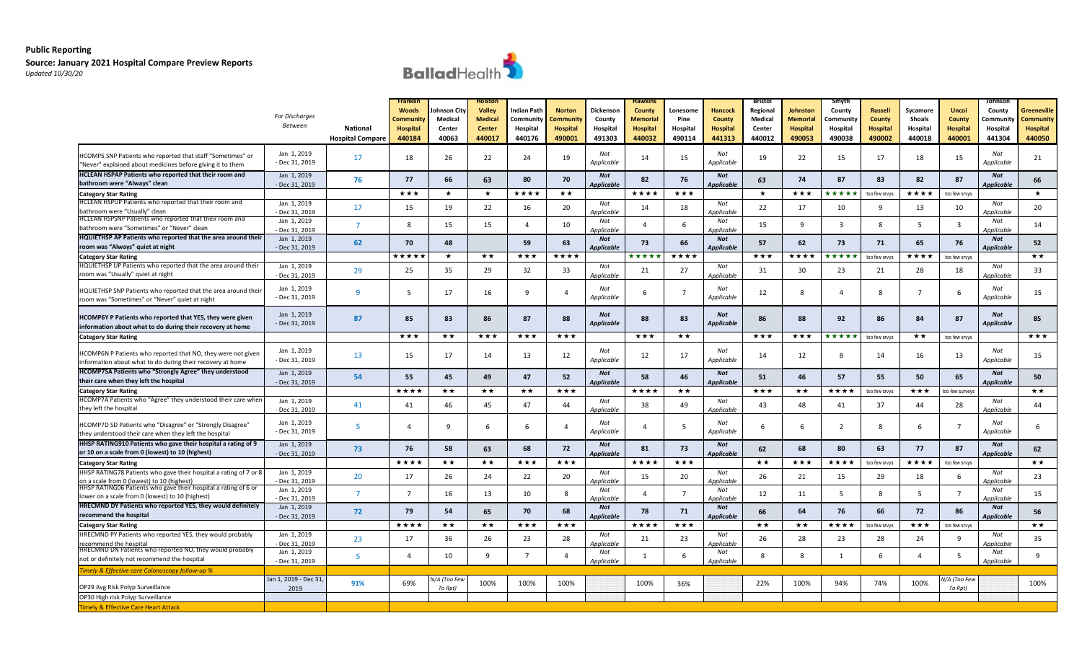

|                                                                                                                            | For Discharges<br>Between     | <b>National</b><br><b>Hospital Compare</b> | <b>Franklir</b><br><b>Woods</b><br>ommunity.<br><b>Hospital</b><br>440184 | ohnson City<br>Medical<br>Center<br>40063 | Hoistor<br>Valley<br>Medical<br><b>Center</b><br>440017 | Indian Path<br>Community<br>Hospital<br>440176 | <b>Norton</b><br>.cmmunit\<br><b>Hospital</b><br>490001 | Dickenson<br>County<br>Hospital<br>491303 | <b>Hawkins</b><br>County<br>Memorial<br><b>Hospital</b><br>440032 | Lonesome<br>Pine<br>Hospital<br>490114 | <b>Hancock</b><br><b>County</b><br>Hospital<br>441313 | Bristol<br>Regional<br>Medical<br>Center<br>440012 | Johnston<br>Memorial<br><b>Hospital</b><br>490053 | Smyth<br>County<br>.cmmunit\<br>Hospital<br>490038 | <b>Russell</b><br>County<br><b>Hospital</b><br>490002 | Sycamore<br>Shoals<br>Hospital<br>440018 | <b>Uncoi</b><br><b>County</b><br><b>Hospital</b><br>440001 | Johnson<br>County<br>Communit:<br>Hospital<br>441304 | Greeneville<br>Community<br>Hospital<br>440050 |
|----------------------------------------------------------------------------------------------------------------------------|-------------------------------|--------------------------------------------|---------------------------------------------------------------------------|-------------------------------------------|---------------------------------------------------------|------------------------------------------------|---------------------------------------------------------|-------------------------------------------|-------------------------------------------------------------------|----------------------------------------|-------------------------------------------------------|----------------------------------------------------|---------------------------------------------------|----------------------------------------------------|-------------------------------------------------------|------------------------------------------|------------------------------------------------------------|------------------------------------------------------|------------------------------------------------|
| HCOMP5 SNP Patients who reported that staff "Sometimes" or<br>"Never" explained about medicines before giving it to them   | Jan 1, 2019<br>- Dec 31, 2019 | 17                                         | 18                                                                        | 26                                        | 22                                                      | 24                                             | 19                                                      | Not<br>Applicable                         | 14                                                                | 15                                     | Not<br>Applicable                                     | 19                                                 | 22                                                | 15                                                 | 17                                                    | 18                                       | 15                                                         | Not<br>Applicable                                    | 21                                             |
| HCLEAN HSPAP Patients who reported that their room and<br>bathroom were "Always" clean                                     | Jan 1, 2019<br>- Dec 31, 2019 | 76                                         | 77                                                                        | 66                                        | 63                                                      | 80                                             | 70                                                      | <b>Not</b><br><b>Applicable</b>           | 82                                                                | - 76                                   | <b>Not</b><br><b>Applicable</b>                       | 63                                                 | 74                                                | 87                                                 | 83                                                    | 82                                       | 87                                                         | Not<br>Applicable                                    | 66                                             |
| <b>Category Star Rating</b>                                                                                                |                               |                                            | ***                                                                       | ★                                         | $\star$                                                 | ★★★★                                           | $\star\star$                                            |                                           | ****                                                              | ★★★                                    |                                                       | $\star$                                            | ★★★                                               | ****                                               | too few srvys                                         | ****                                     | too few srvys                                              |                                                      | $\star$                                        |
| HCLEAN HSPUP Patients who reported that their room and                                                                     | Jan 1, 2019                   | 17                                         | 15                                                                        | 19                                        | 22                                                      | 16                                             | 20                                                      | Not                                       | 14                                                                | 18                                     | Not                                                   | 22                                                 | 17                                                | 10                                                 | 9                                                     | 13                                       | 10                                                         | Not                                                  | 20                                             |
| bathroom were "Usually" clean                                                                                              | Dec 31, 2019                  |                                            |                                                                           |                                           |                                                         |                                                |                                                         | Applicable                                |                                                                   |                                        | Applicable                                            |                                                    |                                                   |                                                    |                                                       |                                          |                                                            | Applicable                                           |                                                |
| HCLEAN HSPSNP Patients who reported that their room and                                                                    | Jan 1, 2019                   | $\overline{7}$                             | 8                                                                         | 15                                        | 15                                                      | $\overline{a}$                                 | 10                                                      | Not                                       | $\Delta$                                                          | 6                                      | Not                                                   | 15                                                 | 9                                                 | $\overline{\mathbf{3}}$                            | 8                                                     | -5                                       | $\overline{\mathbf{3}}$                                    | Not                                                  | 14                                             |
| bathroom were "Sometimes" or "Never" clean                                                                                 | - Dec 31, 2019                |                                            |                                                                           |                                           |                                                         |                                                |                                                         | Applicable                                |                                                                   |                                        | Applicable                                            |                                                    |                                                   |                                                    |                                                       |                                          |                                                            | Anplicable                                           |                                                |
| HQUIETHSP AP Patients who reported that the area around their                                                              | Jan 1, 2019                   | 62                                         | 70                                                                        | 48                                        |                                                         | 59                                             | 63                                                      | <b>Not</b>                                | 73                                                                | 66                                     | <b>Not</b>                                            | 57                                                 | 62                                                | 73                                                 | 71                                                    | 65                                       | 76                                                         | <b>Not</b>                                           | 52                                             |
| room was "Always" quiet at night                                                                                           | - Dec 31, 2019                |                                            | *****                                                                     | $\star$                                   | ★★                                                      | ***                                            | ****                                                    | <b>Applicable</b>                         | ****                                                              | ****                                   | <b>Applicable</b>                                     | ***                                                | ****                                              | ****                                               |                                                       | ★★★★                                     |                                                            | Applicable                                           | $\star\star$                                   |
| <b>Category Star Rating</b><br>HQUIETHSP UP Patients who reported that the area around their                               |                               |                                            |                                                                           |                                           |                                                         |                                                |                                                         |                                           |                                                                   |                                        |                                                       |                                                    |                                                   |                                                    | too few srvys                                         |                                          | too few srvys                                              |                                                      |                                                |
| room was "Usually" quiet at night                                                                                          | Jan 1, 2019<br>Dec 31, 2019   | 29                                         | 25                                                                        | 35                                        | 29                                                      | 32                                             | 33                                                      | Not<br>Applicable                         | 21                                                                | 27                                     | Not<br>Applicable                                     | 31                                                 | 30                                                | 23                                                 | 21                                                    | 28                                       | 18                                                         | Not<br>Applicable                                    | 33                                             |
| HQUIETHSP SNP Patients who reported that the area around their<br>room was "Sometimes" or "Never" quiet at night           | Jan 1, 2019<br>- Dec 31, 2019 | 9                                          | -5                                                                        | 17                                        | 16                                                      | 9                                              | 4                                                       | Not<br>Applicable                         | 6                                                                 | $\overline{7}$                         | Not<br>Applicable                                     | 12                                                 | 8                                                 | $\overline{4}$                                     | 8                                                     | $\overline{7}$                           | 6                                                          | Not<br>Applicable                                    | 15                                             |
| HCOMP6Y P Patients who reported that YES, they were given<br>information about what to do during their recovery at home    | Jan 1, 2019<br>- Dec 31, 2019 | 87                                         | 85                                                                        | 83                                        | 86                                                      | 87                                             | 88                                                      | <b>Not</b><br><b>Applicable</b>           | 88                                                                | 83                                     | Not<br><b>Applicable</b>                              | 86                                                 | 88                                                | 92                                                 | 86                                                    | 84                                       | 87                                                         | Not<br><b>Applicable</b>                             | 85                                             |
| <b>Category Star Rating</b>                                                                                                |                               |                                            | ***                                                                       | $\star\star$                              | ★★★                                                     | ★★★                                            | ★★★                                                     |                                           | ***                                                               | **                                     |                                                       | ***                                                | ★★★                                               | *****                                              | too few srvys                                         | **                                       | too few srvys                                              |                                                      | ★★★                                            |
| HCOMP6N P Patients who reported that NO, they were not given<br>information about what to do during their recovery at home | Jan 1, 2019<br>- Dec 31, 2019 | 13                                         | 15                                                                        | 17                                        | 14                                                      | 13                                             | 12                                                      | Not<br>Applicable                         | 12                                                                | 17                                     | Not<br>Applicable                                     | 14                                                 | 12                                                | -8                                                 | 14                                                    | 16                                       | 13                                                         | Not<br>Applicable                                    | 15                                             |
| HCOMP7SA Patients who "Strongly Agree" they understood<br>their care when they left the hospital                           | Jan 1, 2019<br>- Dec 31, 2019 | 54                                         | 55                                                                        | 45                                        | 49                                                      | 47                                             | 52                                                      | Not<br><b>Applicable</b>                  | 58                                                                | 46                                     | <b>Not</b><br>Applicable                              | 51                                                 | 46                                                | 57                                                 | 55                                                    | 50                                       | 65                                                         | Not<br>Applicable                                    | 50                                             |
| <b>Category Star Rating</b>                                                                                                |                               |                                            | ****                                                                      | ★★                                        | $\star\star$                                            | $\star\star$                                   | ***                                                     |                                           | ★★★★                                                              | $\star\star$                           |                                                       | ***                                                | **                                                | ★★★★                                               | too few srvys                                         | ***                                      | oo few surveys                                             |                                                      | $\star\star$                                   |
| HCOMP7A Patients who "Agree" they understood their care when                                                               | Jan 1, 2019                   |                                            |                                                                           |                                           |                                                         |                                                |                                                         | Not                                       |                                                                   |                                        | Not                                                   |                                                    |                                                   |                                                    |                                                       |                                          |                                                            | Not                                                  |                                                |
| they left the hospital                                                                                                     | - Dec 31, 2019                | 41                                         | 41                                                                        | 46                                        | 45                                                      | 47                                             | 44                                                      | Applicable                                | 38                                                                | 49                                     | Applicable                                            | 43                                                 | 48                                                | 41                                                 | 37                                                    | 44                                       | 28                                                         | Applicable                                           | 44                                             |
| HCOMP7D SD Patients who "Disagree" or "Strongly Disagree"<br>they understood their care when they left the hospital        | Jan 1, 2019<br>- Dec 31, 2019 | -5                                         | $\overline{4}$                                                            | $\mathbf{q}$                              | -6                                                      | -6                                             | $\overline{4}$                                          | Not<br>Applicable                         | 4                                                                 | 5                                      | Not<br>Applicable                                     | 6                                                  | 6                                                 | 2                                                  | 8                                                     | 6                                        | $\overline{7}$                                             | Not<br>Applicable                                    | 6                                              |
| HHSP RATING910 Patients who gave their hospital a rating of 9                                                              | Jan 1, 2019                   |                                            |                                                                           |                                           |                                                         |                                                |                                                         | <b>Not</b>                                |                                                                   |                                        | Not                                                   |                                                    |                                                   |                                                    |                                                       |                                          |                                                            | <b>Not</b>                                           |                                                |
| or 10 on a scale from 0 (lowest) to 10 (highest)                                                                           | - Dec 31, 2019                | 73                                         | 76                                                                        | 58                                        | 63                                                      | 68                                             | 72                                                      | Applicable                                | 81                                                                | 73                                     | <b>Applicable</b>                                     | 62                                                 | 68                                                | 80                                                 | 63                                                    | 77                                       | 87                                                         | Applicable                                           | 62                                             |
| <b>Category Star Rating</b>                                                                                                |                               |                                            | ****                                                                      | ★★                                        | $\star\star$                                            | ***                                            | ***                                                     |                                           | ★★★★                                                              | ★★★                                    |                                                       | **                                                 | ★★★                                               | ****                                               | too few srvys                                         | ****                                     | too few srvys                                              |                                                      | **                                             |
| HHSP RATING78 Patients who gave their hospital a rating of 7 or 8<br>on a scale from 0 (lowest) to 10 (highest             | Jan 1, 2019<br>Dec 31, 2019   | 20                                         | 17                                                                        | 26                                        | 24                                                      | 22                                             | 20                                                      | Not<br>Applicable                         | 15                                                                | 20                                     | Not<br>Applicable                                     | 26                                                 | 21                                                | 15                                                 | 29                                                    | 18                                       | 6                                                          | Not<br>Applicable                                    | 23                                             |
| HHSP RATING06 Patients who gave their hospital a rating of 6 or<br>lower on a scale from 0 (lowest) to 10 (highest)        | Jan 1, 2019                   | $\overline{7}$                             | $\overline{7}$                                                            | 16                                        | 13                                                      | 10                                             | 8                                                       | Not<br>pplicable                          |                                                                   | $\overline{7}$                         | Not<br>Applicable                                     | 12                                                 | 11                                                | 5                                                  | 8                                                     | 5                                        | $\overline{7}$                                             | Not<br>nnlicahl                                      | 15                                             |
| HRECMND DY Patients who reported YES, they would definitely                                                                | Dec 31, 2019<br>Jan 1, 2019   |                                            |                                                                           |                                           |                                                         |                                                |                                                         | Not                                       |                                                                   |                                        | Not                                                   |                                                    |                                                   |                                                    |                                                       |                                          |                                                            | Not                                                  |                                                |
| recommend the hospital                                                                                                     | - Dec 31, 2019                | 72                                         | 79                                                                        | 54                                        | 65                                                      | 70                                             | 68                                                      | <b>Applicable</b>                         | 78                                                                | 71                                     | <b>Applicable</b>                                     | 66                                                 | 64                                                | 76                                                 | 66                                                    | 72                                       | 86                                                         | Applicable                                           | 56                                             |
| <b>Category Star Rating</b>                                                                                                |                               |                                            | ★★★★                                                                      | $\star\star$                              | $\star\star$                                            | ***                                            | ***                                                     |                                           | ****                                                              | ★★★                                    |                                                       | $\star\star$                                       | **                                                | ★★★★                                               | too few srvys                                         | ★★★                                      | too few srvys                                              |                                                      | $\star\star$                                   |
| HRECMND PY Patients who reported YES, they would probably                                                                  | Jan 1, 2019                   |                                            |                                                                           |                                           |                                                         |                                                |                                                         | Not                                       |                                                                   |                                        | Not                                                   |                                                    |                                                   |                                                    |                                                       |                                          |                                                            | Not                                                  |                                                |
| recommend the hospital                                                                                                     | Dec 31, 2019                  | 23                                         | 17                                                                        | 36                                        | 26                                                      | 23                                             | 28                                                      | Applicable                                | 21                                                                | 23                                     | Annlicable                                            | 26                                                 | 28                                                | 23                                                 | 28                                                    | 24                                       | 9                                                          | Annlicable                                           | 35                                             |
| HRECMND DN Patients who reported NO, they would probably                                                                   | Jan 1, 2019                   | 5                                          | $\overline{a}$                                                            | 10                                        | q                                                       | $\overline{7}$                                 | $\overline{a}$                                          | Not                                       | 1                                                                 | 6                                      | Not                                                   | 8                                                  | 8                                                 | 1                                                  | 6                                                     | $\overline{a}$                           | - 5                                                        | Not                                                  | 9                                              |
| not or definitely not recommend the hospital                                                                               | - Dec 31, 2019                |                                            |                                                                           |                                           |                                                         |                                                |                                                         | Applicable                                |                                                                   |                                        | Applicable                                            |                                                    |                                                   |                                                    |                                                       |                                          |                                                            | Applicable                                           |                                                |
| "imely & Effective care Colonoscopy follow-up $\%$                                                                         |                               |                                            |                                                                           |                                           |                                                         |                                                |                                                         |                                           |                                                                   |                                        |                                                       |                                                    |                                                   |                                                    |                                                       |                                          |                                                            |                                                      |                                                |
| OP29 Avg Risk Polyp Surveillance                                                                                           | Jan 1, 2019 - Dec 31          | 91%                                        | 69%                                                                       | N/A (Too Few                              | 100%                                                    | 100%                                           | 100%                                                    |                                           | 100%                                                              | 36%                                    |                                                       | 22%                                                | 100%                                              | 94%                                                | 74%                                                   | 100%                                     | I/A (Too Few                                               |                                                      | 100%                                           |
| OP30 High risk Polyp Surveillance                                                                                          | 2019                          |                                            |                                                                           | To Rpt)                                   |                                                         |                                                |                                                         |                                           |                                                                   |                                        |                                                       |                                                    |                                                   |                                                    |                                                       |                                          | To Rpt)                                                    |                                                      |                                                |
| imely & Effective Care Heart Attack                                                                                        |                               |                                            |                                                                           |                                           |                                                         |                                                |                                                         |                                           |                                                                   |                                        |                                                       |                                                    |                                                   |                                                    |                                                       |                                          |                                                            |                                                      |                                                |
|                                                                                                                            |                               |                                            |                                                                           |                                           |                                                         |                                                |                                                         |                                           |                                                                   |                                        |                                                       |                                                    |                                                   |                                                    |                                                       |                                          |                                                            |                                                      |                                                |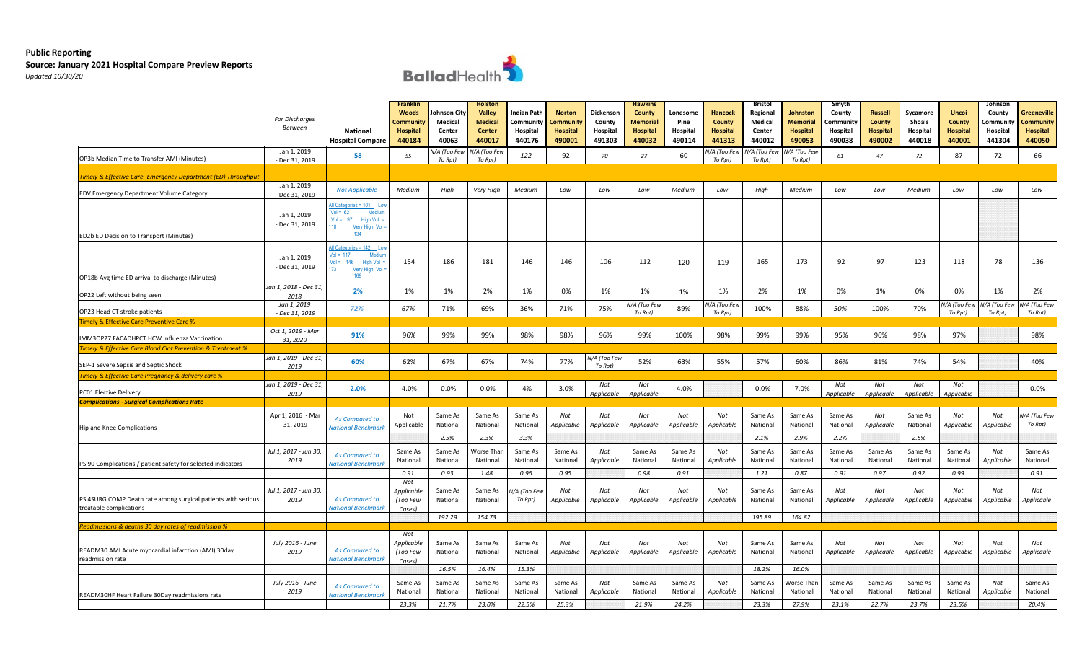# **Public Reporting**

### **Source: January 2021 Hospital Compare Preview Reports**  *Updated 10/30/20*



|                                                                                          | For Discharges<br><b>Between</b><br>Jan 1, 2019 | <b>National</b><br><b>Hospital Compare</b>                                                                  | Franklin<br><b>Woods</b><br>Communit<br>Hospital<br>440184 | ohnson City<br>Medical<br>Center<br>40063 | <b>Holston</b><br>Valley<br><b>Medical</b><br><b>Center</b><br>440017 | Indian Path<br>Community<br>Hospital<br>440176 | <b>Norton</b><br>.community<br><b>Hospital</b><br>490001 | Dickenson<br>County<br>Hospital<br>491303 | <b>Hawkins</b><br>County<br>Memorial<br><b>Hospital</b><br>440032 | Lonesome<br>Pine<br>Hospital<br>490114 | Hancock<br><b>County</b><br>Hospital<br>441313 | <b>Bristol</b><br>Regional<br>Medical<br>Center<br>440012 | Johnston<br>Memorial<br><b>Hospital</b><br>490053 | Smyth<br>County<br>.cmmunit\<br>Hospital<br>490038 | <b>Russell</b><br><b>County</b><br><b>Hospital</b><br>490002 | Sycamore<br>Shoals<br>Hospital<br>440018 | <b>Uncoi</b><br>County<br><b>Hospital</b><br>440001 | Johnson<br>County<br>Communit:<br>Hospital<br>441304 | Greeneville<br>Community<br><b>Hospital</b><br>440050 |
|------------------------------------------------------------------------------------------|-------------------------------------------------|-------------------------------------------------------------------------------------------------------------|------------------------------------------------------------|-------------------------------------------|-----------------------------------------------------------------------|------------------------------------------------|----------------------------------------------------------|-------------------------------------------|-------------------------------------------------------------------|----------------------------------------|------------------------------------------------|-----------------------------------------------------------|---------------------------------------------------|----------------------------------------------------|--------------------------------------------------------------|------------------------------------------|-----------------------------------------------------|------------------------------------------------------|-------------------------------------------------------|
| OP3b Median Time to Transfer AMI (Minutes)                                               | - Dec 31, 2019                                  | 58                                                                                                          | 55                                                         | V/A (Too Few<br>To Rpt)                   | I/A (Too Few<br>To Rpt)                                               | 122                                            | 92                                                       | 70                                        | 27                                                                | 60                                     | V/A (Too Few<br>To Rpt)                        | I/A (Too Few<br>To Rpt)                                   | I/A (Too Few<br>To Rpt)                           | 61                                                 | 47                                                           | 72                                       | 87                                                  | 72                                                   | 66                                                    |
| imely & Effective Care- Emergency Department (ED) Throughput                             |                                                 |                                                                                                             |                                                            |                                           |                                                                       |                                                |                                                          |                                           |                                                                   |                                        |                                                |                                                           |                                                   |                                                    |                                                              |                                          |                                                     |                                                      |                                                       |
| EDV Emergency Department Volume Category                                                 | Jan 1, 2019<br>- Dec 31, 2019                   | <b>Not Applicable</b>                                                                                       | Medium                                                     | High                                      | Very High                                                             | Medium                                         | Low                                                      | Low                                       | Low                                                               | Medium                                 | Low                                            | High                                                      | Medium                                            | Low                                                | Low                                                          | Medium                                   | Low                                                 | Low                                                  | Low                                                   |
| ED2b ED Decision to Transport (Minutes)                                                  | Jan 1, 2019<br>- Dec 31, 2019                   | All Categories = 101 Lor<br>$Vol = 62$<br>Medium<br>$Vol = 97$ High Vol =<br>118<br>Very High Vol:<br>134   |                                                            |                                           |                                                                       |                                                |                                                          |                                           |                                                                   |                                        |                                                |                                                           |                                                   |                                                    |                                                              |                                          |                                                     |                                                      |                                                       |
| OP18b Avg time ED arrival to discharge (Minutes)                                         | Jan 1, 2019<br>- Dec 31, 2019                   | All Categories = 142 Lo<br>$Vol = 117$<br>Mediur<br>$Vol = 146$<br>High Vol<br>173<br>Very High Vol:<br>169 | 154                                                        | 186                                       | 181                                                                   | 146                                            | 146                                                      | 106                                       | 112                                                               | 120                                    | 119                                            | 165                                                       | 173                                               | 92                                                 | 97                                                           | 123                                      | 118                                                 | 78                                                   | 136                                                   |
| OP22 Left without being seen                                                             | Jan 1, 2018 - Dec 31,<br>2018                   | 2%                                                                                                          | 1%                                                         | 1%                                        | 2%                                                                    | 1%                                             | 0%                                                       | 1%                                        | 1%                                                                | 1%                                     | 1%                                             | 2%                                                        | 1%                                                | 0%                                                 | 1%                                                           | 0%                                       | 0%                                                  | 1%                                                   | 2%                                                    |
| OP23 Head CT stroke patients                                                             | Jan 1, 2019<br>- Dec 31, 2019                   | 72%                                                                                                         | 67%                                                        | 71%                                       | 69%                                                                   | 36%                                            | 71%                                                      | 75%                                       | /A (Too Few<br>To Rpt)                                            | 89%                                    | N/A (Too Few<br>To Rpt)                        | 100%                                                      | 88%                                               | 50%                                                | 100%                                                         | 70%                                      | I/A (Too Few<br>To Rpt)                             | V/A (Too Few<br>To Rpt)                              | V/A (Too Few<br>To Rpt)                               |
| imely & Effective Care Preventive Care %                                                 |                                                 |                                                                                                             |                                                            |                                           |                                                                       |                                                |                                                          |                                           |                                                                   |                                        |                                                |                                                           |                                                   |                                                    |                                                              |                                          |                                                     |                                                      |                                                       |
| IMM3OP27 FACADHPCT HCW Influenza Vaccination                                             | Oct 1, 2019 - Mar<br>31, 2020                   | 91%                                                                                                         | 96%                                                        | 99%                                       | 99%                                                                   | 98%                                            | 98%                                                      | 96%                                       | 99%                                                               | 100%                                   | 98%                                            | 99%                                                       | 99%                                               | 95%                                                | 96%                                                          | 98%                                      | 97%                                                 |                                                      | 98%                                                   |
| mely & Effective Care Blood Clot Prevention & Treatment %                                |                                                 |                                                                                                             |                                                            |                                           |                                                                       |                                                |                                                          |                                           |                                                                   |                                        |                                                |                                                           |                                                   |                                                    |                                                              |                                          |                                                     |                                                      |                                                       |
| SEP-1 Severe Sepsis and Septic Shock                                                     | Jan 1, 2019 - Dec 31,<br>2019                   | 60%                                                                                                         | 62%                                                        | 67%                                       | 67%                                                                   | 74%                                            | 77%                                                      | I/A (Too Few<br>To Rpt)                   | 52%                                                               | 63%                                    | 55%                                            | 57%                                                       | 60%                                               | 86%                                                | 81%                                                          | 74%                                      | 54%                                                 |                                                      | 40%                                                   |
| mely & Effective Care Pregnancy & delivery care %                                        |                                                 |                                                                                                             |                                                            |                                           |                                                                       |                                                |                                                          |                                           |                                                                   |                                        |                                                |                                                           |                                                   |                                                    |                                                              |                                          |                                                     |                                                      |                                                       |
| <b>PC01 Elective Delivery</b>                                                            | Jan 1, 2019 - Dec 31,<br>2019                   | 2.0%                                                                                                        | 4.0%                                                       | 0.0%                                      | 0.0%                                                                  | 4%                                             | 3.0%                                                     | Not<br>Applicable                         | Not<br>Applicable                                                 | 4.0%                                   |                                                | 0.0%                                                      | 7.0%                                              | Not<br>Applicable                                  | Not<br>Applicable                                            | Not<br>Applicable                        | Not<br>Applicable                                   |                                                      | 0.0%                                                  |
| <b>Complications - Surgical Complications Rate</b>                                       |                                                 |                                                                                                             |                                                            |                                           |                                                                       |                                                |                                                          |                                           |                                                                   |                                        |                                                |                                                           |                                                   |                                                    |                                                              |                                          |                                                     |                                                      |                                                       |
| Hip and Knee Complications                                                               | Apr 1, 2016 - Mar<br>31, 2019                   | As Compared to<br><b>National Benchmark</b>                                                                 | Not<br>Applicable                                          | Same As<br>National                       | Same As<br>National                                                   | Same As<br>National                            | Not<br>Applicable                                        | Not<br>Applicable                         | Not<br>Applicable                                                 | Not<br>Applicable                      | Not<br>Applicable                              | Same As<br>National                                       | Same As<br>National                               | Same As<br>National                                | Not<br>Applicable                                            | Same As<br>National                      | Not<br>Applicable                                   | Not<br>Applicable                                    | I/A (Too Few<br>To Rpt)                               |
|                                                                                          |                                                 |                                                                                                             |                                                            | 2.5%                                      | 2.3%                                                                  | 3.3%                                           |                                                          |                                           |                                                                   |                                        |                                                | 2.1%                                                      | 2.9%                                              | 2.2%                                               |                                                              | 2.5%                                     |                                                     |                                                      |                                                       |
| PSI90 Complications / patient safety for selected indicators                             | Jul 1, 2017 - Jun 30,<br>2019                   | As Compared to<br><b>Vational Benchmarl</b>                                                                 | Same As<br>National                                        | Same As<br>National                       | <b>Norse Than</b><br>National                                         | Same As<br>National                            | Same As<br>National                                      | Not<br>Applicable                         | Same As<br>National                                               | Same As<br>National                    | Not<br>Applicable                              | Same As<br>National                                       | Same As<br>National                               | Same As<br>National                                | Same As<br>National                                          | Same As<br>National                      | Same As<br>National                                 | Not<br>Applicable                                    | Same As<br>National                                   |
|                                                                                          |                                                 |                                                                                                             | 0.91                                                       | 0.93                                      | 1.48                                                                  | 0.96                                           | 0.95                                                     |                                           | 0.98                                                              | 0.91                                   |                                                | 1.21                                                      | 0.87                                              | 0.91                                               | 0.97                                                         | 0.92                                     | 0.99                                                |                                                      | 0.91                                                  |
| PSI4SURG COMP Death rate among surgical patients with serious<br>treatable complications | Jul 1, 2017 - Jun 30,<br>2019                   | As Compared to<br><b>Vational Benchmark</b>                                                                 | Not<br>Applicable<br>(Too Few<br>Cases)                    | Same As<br>National                       | Same As<br>National                                                   | I/A (Too Few<br>To Rpt)                        | Not<br>Applicable                                        | Not<br>Applicable                         | Not<br>Applicable                                                 | Not<br>Applicable                      | Not<br>Applicable                              | Same As<br>National                                       | Same As<br>National                               | Not<br>Applicable                                  | Not<br>Applicable                                            | Not<br>Applicable                        | Not<br>Applicable                                   | Not<br>Applicable                                    | Not<br>Applicable                                     |
|                                                                                          |                                                 |                                                                                                             |                                                            | 192.29                                    | 154.73                                                                |                                                |                                                          |                                           |                                                                   |                                        |                                                | 195.89                                                    | 164.82                                            |                                                    |                                                              |                                          |                                                     |                                                      |                                                       |
| eadmissions & deaths 30 day rates of readmission %                                       |                                                 |                                                                                                             | Not                                                        |                                           |                                                                       |                                                |                                                          |                                           |                                                                   |                                        |                                                |                                                           |                                                   |                                                    |                                                              |                                          |                                                     |                                                      |                                                       |
| READM30 AMI Acute myocardial infarction (AMI) 30day<br>readmission rate                  | July 2016 - June<br>2019                        | As Compared to<br>National Benchmark                                                                        | Applicable<br>(Too Few<br>Cases)                           | Same As<br>National                       | Same As<br>National                                                   | Same As<br>National                            | Not<br>Applicable                                        | Not<br>Applicable                         | Not<br>Applicable                                                 | Not<br>Applicable                      | Not<br>Applicable                              | Same As<br>National                                       | Same As<br>National                               | Not<br>Applicable                                  | Not<br>Applicable                                            | Not<br>Applicable                        | Not<br>Applicable                                   | Not<br>Applicable                                    | Not<br>Applicable                                     |
|                                                                                          |                                                 |                                                                                                             |                                                            | 16.5%                                     | 16.4%                                                                 | 15.3%                                          |                                                          |                                           |                                                                   |                                        |                                                | 18.2%                                                     | 16.0%                                             |                                                    |                                                              |                                          |                                                     |                                                      |                                                       |
| READM30HF Heart Failure 30Day readmissions rate                                          | July 2016 - June<br>2019                        | As Compared to<br><b>Vational Benchmarl</b>                                                                 | Same As<br>National                                        | Same As<br>National                       | Same As<br>National                                                   | Same As<br>National                            | Same As<br>National                                      | Not<br>Applicable                         | Same As<br>National                                               | Same As<br>National                    | Not<br>Applicable                              | Same As<br>National                                       | Vorse Than<br>National                            | Same As<br>National                                | Same As<br>National                                          | Same As<br>National                      | Same As<br>National                                 | Not<br>Applicable                                    | Same As<br>National                                   |
|                                                                                          |                                                 |                                                                                                             | 23.3%                                                      | 21.7%                                     | 23.0%                                                                 | 22.5%                                          | 25.3%                                                    |                                           | 21.9%                                                             | 24.2%                                  |                                                | 23.3%                                                     | 27.9%                                             | 23.1%                                              | 22.7%                                                        | 23.7%                                    | 23.5%                                               |                                                      | 20.4%                                                 |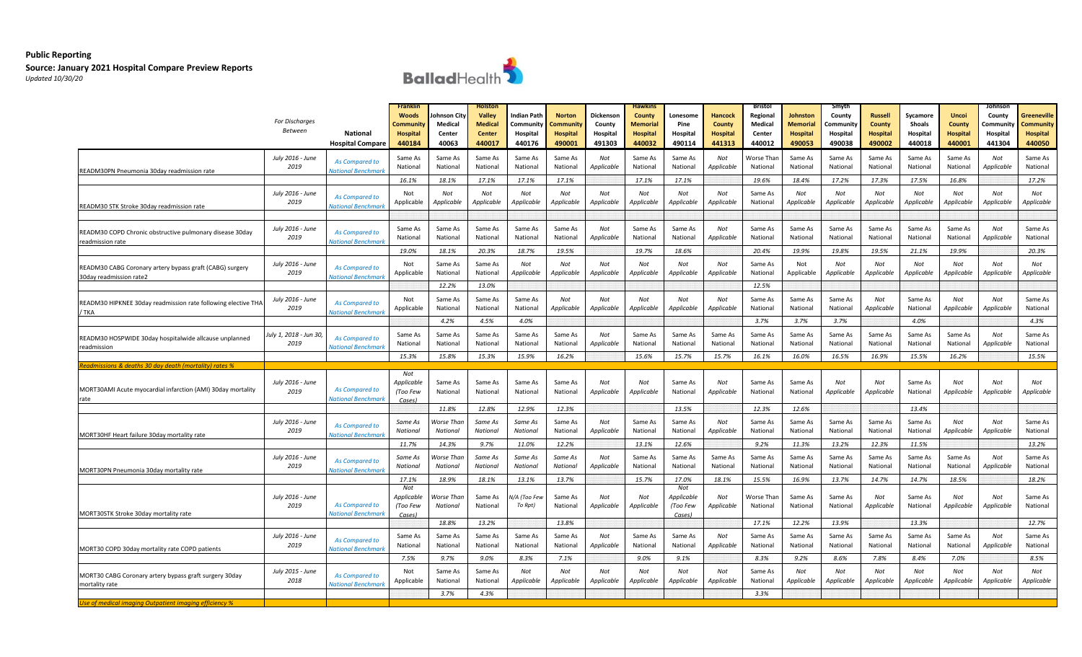

|                                                                                     | For Discharges<br>Between    | <b>National</b><br><b>Hospital Compare</b>  | <b>Franklin</b><br><b>Woods</b><br>ommunity:<br>Hospital<br>440184 | ohnson City<br>Medical<br>Center<br>40063 | <b>Holston</b><br><b>Valley</b><br><b>Medical</b><br><b>Center</b><br>440017 | Indian Path<br>Community<br>Hospital<br>440176 | <b>Norton</b><br>Community.<br><b>Hospital</b><br>490001 | Dickenson<br>County<br>Hospital<br>491303 | <b>Hawkins</b><br>County<br>Memorial<br>Hospital<br>440032 | Lonesome<br>Pine<br>Hospital<br>490114  | <b>Hancock</b><br>County<br><b>Hospital</b><br>441313 | <b>Bristol</b><br>Regional<br>Medical<br>Center<br>440012 | Johnston<br>Memoria<br><b>Hospital</b><br>490053 | Smyth<br>County<br>`ommunity<br>Hospital<br>490038 | <b>Russell</b><br><b>County</b><br><b>Hospital</b><br>490002 | Sycamore<br>Shoals<br>Hospital<br>440018 | <b>Uncoi</b><br><b>County</b><br><b>Hospital</b><br>440001 | Johnson<br>County<br>`ommunit<br>Hospital<br>441304 | Greeneville<br>Community<br><b>Hospital</b><br>440050 |
|-------------------------------------------------------------------------------------|------------------------------|---------------------------------------------|--------------------------------------------------------------------|-------------------------------------------|------------------------------------------------------------------------------|------------------------------------------------|----------------------------------------------------------|-------------------------------------------|------------------------------------------------------------|-----------------------------------------|-------------------------------------------------------|-----------------------------------------------------------|--------------------------------------------------|----------------------------------------------------|--------------------------------------------------------------|------------------------------------------|------------------------------------------------------------|-----------------------------------------------------|-------------------------------------------------------|
| READM30PN Pneumonia 30day readmission rate                                          | July 2016 - June<br>2019     | As Compared to<br>lational Benchman         | Same As<br>National                                                | Same As<br>National                       | Same As<br>National                                                          | Same As<br>National                            | Same As<br>National                                      | Not<br>Applicable                         | Same As<br>National                                        | Same As<br>National                     | Not<br>Applicable                                     | Norse Than<br>National                                    | Same As<br>National                              | Same As<br>National                                | Same As<br>National                                          | Same As<br>National                      | Same As<br>National                                        | Not<br>Applicable                                   | Same As<br>National                                   |
| READM30 STK Stroke 30day readmission rate                                           | July 2016 - June<br>2019     | As Compared to<br>Iational Benchmarl        | 16.1%<br>Not<br>Applicable                                         | 18.1%<br>Not<br>Applicable                | 17.1%<br>Not<br><i><b>Applicable</b></i>                                     | 17.1%<br>Not<br>Applicable                     | 17.1%<br>Not<br>Applicable                               | Not<br>Applicable                         | 17.1%<br>Not<br>Applicable                                 | 17.1%<br>Not<br>Applicable              | Not<br>Applicable                                     | 19.6%<br>Same As<br>National                              | 18.4%<br>Not<br>Applicable                       | 17.2%<br>Not<br>Applicable                         | 17.3%<br>Not<br>Applicable                                   | 17.5%<br>Not<br>Applicable               | 16.8%<br>Not<br>Applicable                                 | Not<br>Applicable                                   | 17.2%<br>Not<br>Applicable                            |
| READM30 COPD Chronic obstructive pulmonary disease 30day<br>readmission rate        | July 2016 - June<br>2019     | <b>As Compared to</b><br>Iational Benchmarl | Same As<br>National                                                | Same As<br>National                       | Same As<br>National                                                          | Same As<br>National                            | Same As<br>National                                      | Not<br>Applicable                         | Same As<br>National                                        | Same As<br>National                     | Not<br>Applicable                                     | Same As<br>National                                       | Same As<br>National                              | Same As<br>National                                | Same As<br>National                                          | Same As<br>National                      | Same As<br>National                                        | Not<br>Applicable                                   | Same As<br>National                                   |
| READM30 CABG Coronary artery bypass graft (CABG) surgery<br>30day readmission rate2 | July 2016 - June<br>2019     | As Compared to<br>Iational Benchmark        | 19.0%<br>Not<br>Applicable                                         | 18.1%<br>Same As<br>National              | 20.3%<br>Same As<br>National                                                 | 18.7%<br>Not<br>Applicable                     | 19.5%<br>Not<br>Applicable                               | Not<br>Applicable                         | 19.7%<br>Not<br>Applicable                                 | 18.6%<br>Not<br>Applicable              | Not<br>Applicable                                     | 20.4%<br>Same As<br>National                              | 19.9%<br>Not<br>Applicable                       | 19.8%<br>Not<br>Applicable                         | 19.5%<br>Not<br>Applicable                                   | 21.1%<br>Not<br>Applicable               | 19.9%<br>Not<br>Applicable                                 | Not<br>Applicable                                   | 20.3%<br>Not<br>Applicable                            |
| READM30 HIPKNEE 30day readmission rate following elective THA<br>' TKA              | July 2016 - June<br>2019     | As Compared to<br><b>ational Benchmark</b>  | Not<br>Applicable                                                  | 12.2%<br>Same As<br>National              | 13.0%<br>Same As<br>National                                                 | Same As<br>National                            | Not<br>Applicable                                        | Not<br>Applicable                         | Not<br>Applicable                                          | Not<br>Applicable                       | Not<br>Applicable                                     | 12.5%<br>Same As<br>National                              | Same As<br>National                              | Same As<br>National                                | Not<br>Applicable                                            | Same As<br>National                      | Not<br>Applicable                                          | Not<br>Applicable                                   | Same As<br>National                                   |
| READM30 HOSPWIDE 30day hospitalwide allcause unplanned<br>readmission               | uly 1, 2018 - Jun 30<br>2019 | As Compared to<br>lational Benchman         | Same As<br>National                                                | 4.2%<br>Same As<br>National               | 4.5%<br>Same As<br>National                                                  | 4.0%<br>Same As<br>National                    | Same As<br>National                                      | Not<br>Applicable                         | Same As<br>National                                        | Same As<br>National                     | Same As<br>National                                   | 3.7%<br>Same As<br>National                               | 3.7%<br>Same As<br>National                      | 3.7%<br>Same As<br>National                        | Same As<br>National                                          | 4.0%<br>Same As<br>National              | Same As<br>National                                        | Not<br>Applicable                                   | 4.3%<br>Same As<br>National                           |
| eadmissions & deaths 30 day death (mortality) rates %                               |                              |                                             | 15.3%                                                              | 15.8%                                     | 15.3%                                                                        | 15.9%                                          | 16.2%                                                    |                                           | 15.6%                                                      | 15.7%                                   | 15.7%                                                 | 16.1%                                                     | 16.0%                                            | 16.5%                                              | 16.9%                                                        | 15.5%                                    | 16.2%                                                      |                                                     | 15.5%                                                 |
| MORT30AMI Acute myocardial infarction (AMI) 30day mortality<br>rate                 | July 2016 - June<br>2019     | As Compared to<br>National Benchmark        | Not<br><i><b>Applicable</b></i><br>(Too Few<br>Cases)              | Same As<br>National                       | Same As<br>National                                                          | Same As<br>National                            | Same As<br>National                                      | Not<br>Applicable                         | Not<br>Applicable                                          | Same As<br>National                     | Not<br>Applicable                                     | Same As<br>National                                       | Same As<br>National                              | Not<br>Applicable                                  | Not<br>Applicable                                            | Same As<br>National                      | Not<br>Applicable                                          | Not<br>Applicable                                   | Not<br>Applicable                                     |
| MORT30HF Heart failure 30day mortality rate                                         | July 2016 - June<br>2019     | As Compared to<br><b>ational Benchmark</b>  | Same As<br>National                                                | 11.8%<br>Vorse Than<br>National           | 12.8%<br>Same As<br>National                                                 | 12.9%<br>Same As<br>National                   | 12.3%<br>Same As<br>National                             | Not<br>Applicable                         | Same As<br>National                                        | 13.5%<br>Same As<br>National            | Not<br>Applicable                                     | 12.3%<br>Same As<br>National                              | 12.6%<br>Same As<br>National                     | Same As<br>National                                | Same As<br>National                                          | 13.4%<br>Same As<br>National             | Not<br>Applicable                                          | Not<br>Applicable                                   | Same As<br>National                                   |
|                                                                                     |                              |                                             | 11.7%                                                              | 14.3%                                     | 9.7%                                                                         | 11.0%                                          | 12.2%                                                    |                                           | 13.1%                                                      | 12.6%                                   |                                                       | 9.2%                                                      | 11.3%                                            | 13.2%                                              | 12.3%                                                        | 11.5%                                    |                                                            |                                                     | 13.2%                                                 |
| MORT30PN Pneumonia 30day mortality rate                                             | July 2016 - June<br>2019     | As Compared to<br>lational Benchman         | Same As<br>National<br>17.1%                                       | Vorse Than<br>National<br>18.9%           | Same As<br>National<br>18.1%                                                 | Same As<br>National<br>13.1%                   | Same As<br>National<br>13.7%                             | Not<br>Applicable                         | Same As<br>National<br>15.7%                               | Same As<br>National<br>17.0%            | Same As<br>National<br>18.1%                          | Same As<br>National<br>15.5%                              | Same As<br>National<br>16.9%                     | Same As<br>National<br>13.7%                       | Same As<br>National<br>14.7%                                 | Same As<br>National<br>14.7%             | Same As<br>National<br>18.5%                               | Not<br>Applicable                                   | Same As<br>National<br>18.2%                          |
| MORT30STK Stroke 30day mortality rate                                               | July 2016 - June<br>2019     | As Compared to<br><b>Vational Benchmark</b> | Not<br>Applicable<br>(Too Few<br>Cases)                            | Vorse Than<br>National                    | Same As<br>National                                                          | /A (Too Few<br>To Rpt)                         | Same As<br>National                                      | Not<br>Applicable                         | Not<br>Applicable                                          | Not<br>Applicable<br>(Too Few<br>Cases) | Not<br>Applicable                                     | Worse Than<br>National                                    | Same As<br>National                              | Same As<br>National                                | Not<br>Applicable                                            | Same As<br>National                      | Not<br>Applicable                                          | Not<br>Applicable                                   | Same As<br>National                                   |
|                                                                                     |                              |                                             |                                                                    | 18.8%                                     | 13.2%                                                                        |                                                | 13.8%                                                    |                                           |                                                            |                                         |                                                       | 17.1%                                                     | 12.2%                                            | 13.9%                                              |                                                              | 13.3%                                    |                                                            |                                                     | 12.7%                                                 |
| MORT30 COPD 30day mortality rate COPD patients                                      | July 2016 - June<br>2019     | As Compared to<br><b>Vational Benchmark</b> | Same As<br>National                                                | Same As<br>National<br>9.7%               | Same As<br>National<br>9.0%                                                  | Same As<br>National<br>8.3%                    | Same As<br>National<br>7.1%                              | Not<br>Applicable                         | Same As<br>National<br>9.0%                                | Same As<br>National<br>9.1%             | Not<br>Applicable                                     | Same As<br>National<br>8.3%                               | Same As<br>National<br>9.2%                      | Same As<br>National<br>8.6%                        | Same As<br>National<br>7.8%                                  | Same As<br>National<br>8.4%              | Same As<br>National<br>7.0%                                | Not<br>Applicable                                   | Same As<br>National<br>8.5%                           |
| MORT30 CABG Coronary artery bypass graft surgery 30day<br>mortality rate            | July 2015 - June<br>2018     | As Compared to<br><b>Iational Benchmark</b> | 7.5%<br>Not<br>Applicable                                          | Same As<br>National                       | Same As<br>National                                                          | Not<br>Applicable                              | Not<br>Applicable                                        | Not<br>Applicable                         | Not<br>Applicable                                          | Not<br>Applicable                       | Not<br>Applicable                                     | Same As<br>National                                       | Not<br>Applicable                                | Not<br>Applicable                                  | Not<br>Applicable                                            | Not<br>Applicable                        | Not<br>Applicable                                          | Not<br>Applicable                                   | Not<br>Applicable                                     |
| Ise of medical imaging Outpatient imaging efficiency %                              |                              |                                             |                                                                    | 3.7%                                      | 4.3%                                                                         |                                                |                                                          |                                           |                                                            |                                         |                                                       | 3.3%                                                      |                                                  |                                                    |                                                              |                                          |                                                            |                                                     |                                                       |